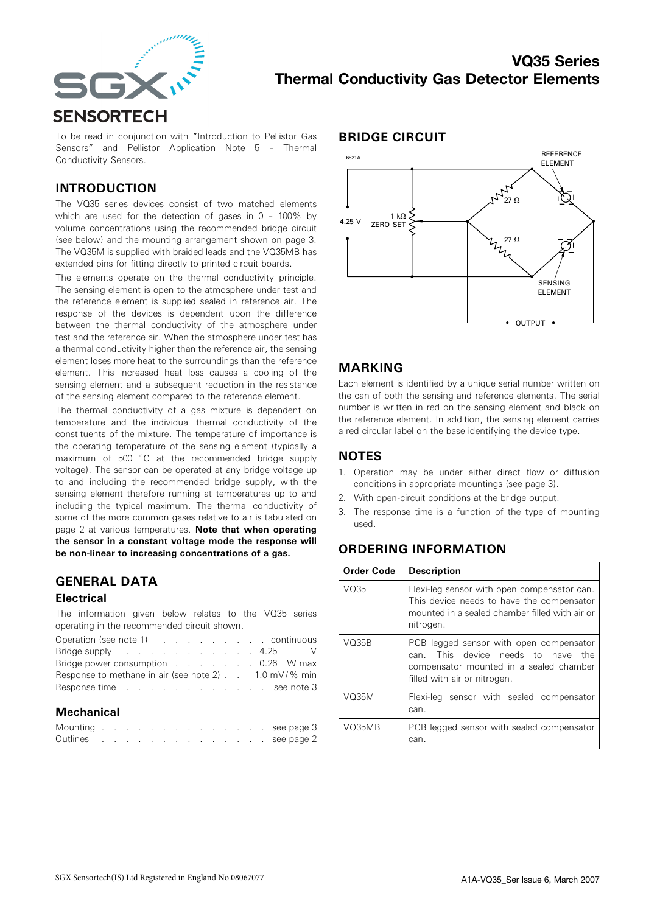

To be read in conjunction with "Introduction to Pellistor Gas Sensors" and Pellistor Application Note 5 – Thermal Conductivity Sensors.

## INTRODUCTION

The VQ35 series devices consist of two matched elements which are used for the detection of gases in 0 – 100% by volume concentrations using the recommended bridge circuit (see below) and the mounting arrangement shown on page 3. The VQ35M is supplied with braided leads and the VQ35MB has extended pins for fitting directly to printed circuit boards.

The elements operate on the thermal conductivity principle. The sensing element is open to the atmosphere under test and the reference element is supplied sealed in reference air. The response of the devices is dependent upon the difference between the thermal conductivity of the atmosphere under test and the reference air. When the atmosphere under test has a thermal conductivity higher than the reference air, the sensing element loses more heat to the surroundings than the reference element. This increased heat loss causes a cooling of the sensing element and a subsequent reduction in the resistance of the sensing element compared to the reference element.

The thermal conductivity of a gas mixture is dependent on temperature and the individual thermal conductivity of the constituents of the mixture. The temperature of importance is the operating temperature of the sensing element (typically a maximum of  $500\degree C$  at the recommended bridge supply voltage). The sensor can be operated at any bridge voltage up to and including the recommended bridge supply, with the sensing element therefore running at temperatures up to and including the typical maximum. The thermal conductivity of some of the more common gases relative to air is tabulated on page 2 at various temperatures. Note that when operating the sensor in a constant voltage mode the response will be non-linear to increasing concentrations of a gas.

## GENERAL DATA

#### **Electrical**

The information given below relates to the VQ35 series operating in the recommended circuit shown.

|  |  |  |  |  | Operation (see note 1) (Contact Allen Continuous<br>Bridge supply and the state of the state of the state of the state of the state of the state of the state of the state of the state of the state of the state of the state of the state of the state of the state of the state<br>Bridge power consumption 0.26 W max<br>Response to methane in air (see note 2) 1.0 mV/% min<br>Response time see note 3 |
|--|--|--|--|--|---------------------------------------------------------------------------------------------------------------------------------------------------------------------------------------------------------------------------------------------------------------------------------------------------------------------------------------------------------------------------------------------------------------|

#### **Mechanical**

|  |  |  |  |  |  |  | Mounting see page 3 |
|--|--|--|--|--|--|--|---------------------|
|  |  |  |  |  |  |  | Outlines see page 2 |

#### BRIDGE CIRCUIT



#### MARKING

Each element is identified by a unique serial number written on the can of both the sensing and reference elements. The serial number is written in red on the sensing element and black on the reference element. In addition, the sensing element carries a red circular label on the base identifying the device type.

### **NOTES**

- 1. Operation may be under either direct flow or diffusion conditions in appropriate mountings (see page 3).
- 2. With open-circuit conditions at the bridge output.
- 3. The response time is a function of the type of mounting used.

# ORDERING INFORMATION

| Order Code | <b>Description</b>                                                                                                                                             |
|------------|----------------------------------------------------------------------------------------------------------------------------------------------------------------|
| V035       | Flexi-leg sensor with open compensator can.<br>This device needs to have the compensator<br>mounted in a sealed chamber filled with air or<br>nitrogen.        |
| V035B      | PCB legged sensor with open compensator<br>This device needs to have<br>the<br>can.<br>compensator mounted in a sealed chamber<br>filled with air or nitrogen. |
| V035M      | Flexi-leg sensor with sealed compensator<br>can.                                                                                                               |
| V035MB     | PCB legged sensor with sealed compensator<br>can.                                                                                                              |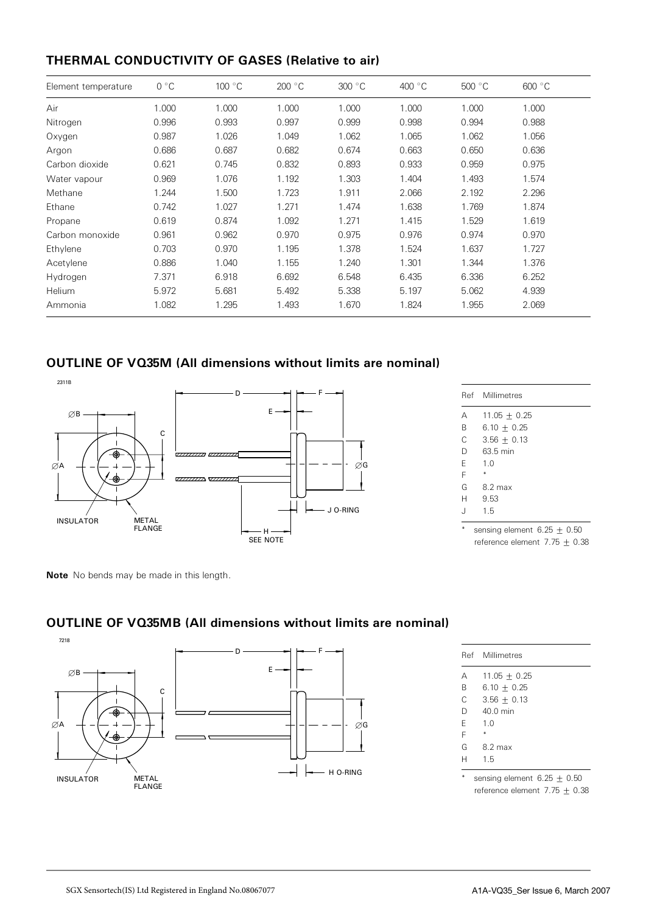# THERMAL CONDUCTIVITY OF GASES (Relative to air)

| Element temperature | $0^{\circ}C$ | 100 °C | 200 °C | 300 °C | 400 $\degree$ C | 500 °C | 600 °C |
|---------------------|--------------|--------|--------|--------|-----------------|--------|--------|
| Air                 | 1.000        | 1.000  | 1.000  | 1.000  | 1.000           | 1.000  | 1.000  |
| Nitrogen            | 0.996        | 0.993  | 0.997  | 0.999  | 0.998           | 0.994  | 0.988  |
| Oxygen              | 0.987        | 1.026  | 1.049  | 1.062  | 1.065           | 1.062  | 1.056  |
| Argon               | 0.686        | 0.687  | 0.682  | 0.674  | 0.663           | 0.650  | 0.636  |
| Carbon dioxide      | 0.621        | 0.745  | 0.832  | 0.893  | 0.933           | 0.959  | 0.975  |
| Water vapour        | 0.969        | 1.076  | 1.192  | 1.303  | 1.404           | 1.493  | 1.574  |
| Methane             | 1.244        | 1.500  | 1.723  | 1.911  | 2.066           | 2.192  | 2.296  |
| Ethane              | 0.742        | 1.027  | 1.271  | 1.474  | 1.638           | 1.769  | 1.874  |
| Propane             | 0.619        | 0.874  | 1.092  | 1.271  | 1.415           | 1.529  | 1.619  |
| Carbon monoxide     | 0.961        | 0.962  | 0.970  | 0.975  | 0.976           | 0.974  | 0.970  |
| Ethylene            | 0.703        | 0.970  | 1.195  | 1.378  | 1.524           | 1.637  | 1.727  |
| Acetylene           | 0.886        | 1.040  | 1.155  | 1.240  | 1.301           | 1.344  | 1.376  |
| Hydrogen            | 7.371        | 6.918  | 6.692  | 6.548  | 6.435           | 6.336  | 6.252  |
| Helium              | 5.972        | 5.681  | 5.492  | 5.338  | 5.197           | 5.062  | 4.939  |
| Ammonia             | 1.082        | 1.295  | 1.493  | 1.670  | 1.824           | 1.955  | 2.069  |

# OUTLINE OF VQ35M (All dimensions without limits are nominal)



|   | Ref Millimetres                                                                                           |
|---|-----------------------------------------------------------------------------------------------------------|
| А | $11.05 \pm 0.25$                                                                                          |
| B | $6.10 + 0.25$                                                                                             |
| C | $3.56 + 0.13$                                                                                             |
| D | 63.5 min                                                                                                  |
| F | 1.0                                                                                                       |
| F |                                                                                                           |
| G | $8.2 \text{ max}$                                                                                         |
| H | 9.53                                                                                                      |
| J | 1.5                                                                                                       |
|   | the contract of the contract of the contract of the contract of the contract of<br>$\sim$<br>$\mathbf{r}$ |

sensing element  $6.25 \pm 0.50$ reference element 7.75 + 0.38

Note No bends may be made in this length.

# OUTLINE OF VQ35MB (All dimensions without limits are nominal)



|   | Ref Millimetres               |
|---|-------------------------------|
| Α | $11.05 \pm 0.25$              |
| B | $6.10 + 0.25$                 |
| C | $3.56 + 0.13$                 |
| D | 40 0 min                      |
| F | 1 <sub>0</sub>                |
| F |                               |
| G | 8.2 max                       |
| н | 15                            |
|   | sensing element $6.25 + 0.50$ |

reference element  $7.75 \pm 0.38$